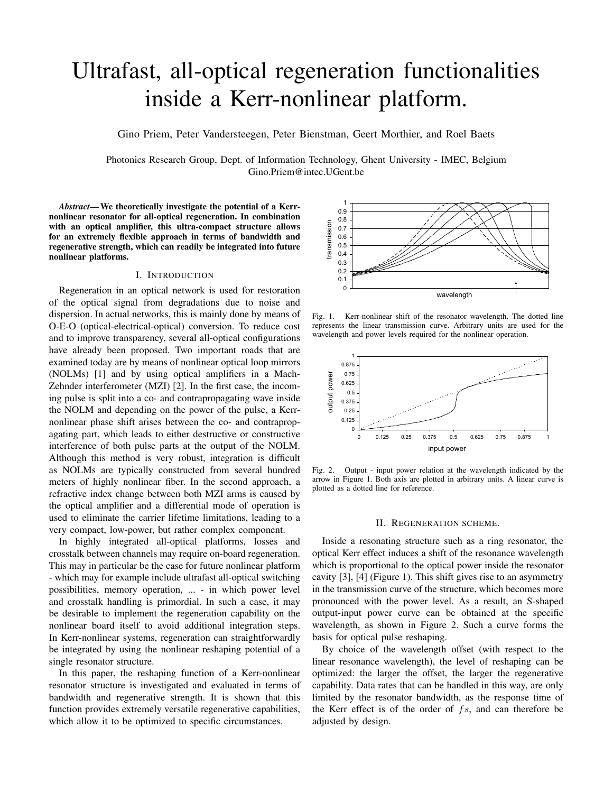# Ultrafast, all-optical regeneration functionalities inside a Kerr-nonlinear platform.

Gino Priem, Peter Vandersteegen, Peter Bienstman, Geert Morthier, and Roel Baets

Photonics Research Group, Dept. of Information Technology, Ghent University - IMEC, Belgium Gino.Priem@intec.UGent.be

*Abstract***— We theoretically investigate the potential of a Kerrnonlinear resonator for all-optical regeneration. In combination with an optical amplifier, this ultra-compact structure allows for an extremely flexible approach in terms of bandwidth and regenerative strength, which can readily be integrated into future nonlinear platforms.**

## I. INTRODUCTION

Regeneration in an optical network is used for restoration of the optical signal from degradations due to noise and dispersion. In actual networks, this is mainly done by means of O-E-O (optical-electrical-optical) conversion. To reduce cost and to improve transparency, several all-optical configurations have already been proposed. Two important roads that are examined today are by means of nonlinear optical loop mirrors (NOLMs) [1] and by using optical amplifiers in a Mach-Zehnder interferometer (MZI) [2]. In the first case, the incoming pulse is split into a co- and contrapropagating wave inside the NOLM and depending on the power of the pulse, a Kerrnonlinear phase shift arises between the co- and contrapropagating part, which leads to either destructive or constructive interference of both pulse parts at the output of the NOLM. Although this method is very robust, integration is difficult as NOLMs are typically constructed from several hundred meters of highly nonlinear fiber. In the second approach, a refractive index change between both MZI arms is caused by the optical amplifier and a differential mode of operation is used to eliminate the carrier lifetime limitations, leading to a very compact, low-power, but rather complex component.

In highly integrated all-optical platforms, losses and crosstalk between channels may require on-board regeneration. This may in particular be the case for future nonlinear platform - which may for example include ultrafast all-optical switching possibilities, memory operation, ... - in which power level and crosstalk handling is primordial. In such a case, it may be desirable to implement the regeneration capability on the nonlinear board itself to avoid additional integration steps. In Kerr-nonlinear systems, regeneration can straightforwardly be integrated by using the nonlinear reshaping potential of a single resonator structure.

In this paper, the reshaping function of a Kerr-nonlinear resonator structure is investigated and evaluated in terms of bandwidth and regenerative strength. It is shown that this function provides extremely versatile regenerative capabilities, which allow it to be optimized to specific circumstances.



Fig. 1. Kerr-nonlinear shift of the resonator wavelength. The dotted line represents the linear transmission curve. Arbitrary units are used for the wavelength and power levels required for the nonlinear operation.



Fig. 2. Output - input power relation at the wavelength indicated by the arrow in Figure 1. Both axis are plotted in arbitrary units. A linear curve is plotted as a dotted line for reference.

#### II. REGENERATION SCHEME.

Inside a resonating structure such as a ring resonator, the optical Kerr effect induces a shift of the resonance wavelength which is proportional to the optical power inside the resonator cavity [3], [4] (Figure 1). This shift gives rise to an asymmetry in the transmission curve of the structure, which becomes more pronounced with the power level. As a result, an S-shaped output-input power curve can be obtained at the specific wavelength, as shown in Figure 2. Such a curve forms the basis for optical pulse reshaping.

By choice of the wavelength offset (with respect to the linear resonance wavelength), the level of reshaping can be optimized: the larger the offset, the larger the regenerative capability. Data rates that can be handled in this way, are only limited by the resonator bandwidth, as the response time of the Kerr effect is of the order of  $fs$ , and can therefore be adjusted by design.